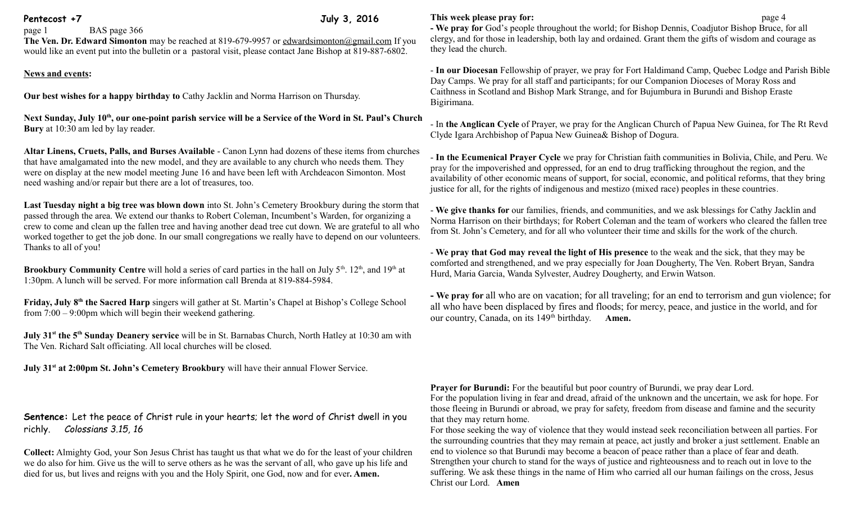## **Pentecost +7 July 3, 2016**

page 1 BAS page 366

**The Ven. Dr. Edward Simonton** may be reached at 819-679-9957 or [edwardsimonton@gmail.com](mailto:edwardsimonton@gmail.com) If you would like an event put into the bulletin or a pastoral visit, please contact Jane Bishop at 819-887-6802.

## **News and events:**

**Our best wishes for a happy birthday to** Cathy Jacklin and Norma Harrison on Thursday.

**Next Sunday, July 10th , our one-point parish service will be a Service of the Word in St. Paul's Church Bury** at 10:30 am led by lay reader.

**Altar Linens, Cruets, Palls, and Burses Available** - Canon Lynn had dozens of these items from churches that have amalgamated into the new model, and they are available to any church who needs them. They were on display at the new model meeting June 16 and have been left with Archdeacon Simonton. Most need washing and/or repair but there are a lot of treasures, too.

**Last Tuesday night a big tree was blown down** into St. John's Cemetery Brookbury during the storm that passed through the area. We extend our thanks to Robert Coleman, Incumbent's Warden, for organizing a crew to come and clean up the fallen tree and having another dead tree cut down. We are grateful to all who worked together to get the job done. In our small congregations we really have to depend on our volunteers. Thanks to all of you!

**Brookbury Community Centre** will hold a series of card parties in the hall on July 5<sup>th</sup>. 12<sup>th</sup>, and 19<sup>th</sup> at 1:30pm. A lunch will be served. For more information call Brenda at 819-884-5984.

**Friday, July 8th the Sacred Harp** singers will gather at St. Martin's Chapel at Bishop's College School from  $7:00 - 9:00$  pm which will begin their weekend gathering.

**July 31st the 5th Sunday Deanery service** will be in St. Barnabas Church, North Hatley at 10:30 am with The Ven. Richard Salt officiating. All local churches will be closed.

**July 31st at 2:00pm St. John's Cemetery Brookbury** will have their annual Flower Service.

**Sentence:** Let the peace of Christ rule in your hearts; let the word of Christ dwell in you richly. *Colossians 3.15, 16*

**Collect:** Almighty God, your Son Jesus Christ has taught us that what we do for the least of your children we do also for him. Give us the will to serve others as he was the servant of all, who gave up his life and died for us, but lives and reigns with you and the Holy Spirit, one God, now and for ever**. Amen.**

## **This week please pray for: page 4**

**- We pray for** God's people throughout the world; for Bishop Dennis, Coadjutor Bishop Bruce, for all clergy, and for those in leadership, both lay and ordained. Grant them the gifts of wisdom and courage as they lead the church.

- **In our Diocesan** Fellowship of prayer, we pray for Fort Haldimand Camp, Quebec Lodge and Parish Bible Day Camps. We pray for all staff and participants; for our Companion Dioceses of Moray Ross and Caithness in Scotland and Bishop Mark Strange, and for Bujumbura in Burundi and Bishop Eraste Bigirimana.

- In **the Anglican Cycle** of Prayer, we pray for the Anglican Church of Papua New Guinea, for The Rt Revd Clyde Igara Archbishop of Papua New Guinea& Bishop of Dogura.

- **In the Ecumenical Prayer Cycle** we pray for Christian faith communities in Bolivia, Chile, and Peru. We pray for the impoverished and oppressed, for an end to drug trafficking throughout the region, and the availability of other economic means of support, for social, economic, and political reforms, that they bring justice for all, for the rights of indigenous and mestizo (mixed race) peoples in these countries.

- **We give thanks for** our families, friends, and communities, and we ask blessings for Cathy Jacklin and Norma Harrison on their birthdays; for Robert Coleman and the team of workers who cleared the fallen tree from St. John's Cemetery, and for all who volunteer their time and skills for the work of the church.

- **We pray that God may reveal the light of His presence** to the weak and the sick, that they may be comforted and strengthened, and we pray especially for Joan Dougherty, The Ven. Robert Bryan, Sandra Hurd, Maria Garcia, Wanda Sylvester, Audrey Dougherty, and Erwin Watson.

**- We pray for** all who are on vacation; for all traveling; for an end to terrorism and gun violence; for all who have been displaced by fires and floods; for mercy, peace, and justice in the world, and for our country, Canada, on its 149<sup>th</sup> birthday. **Amen.** 

**Prayer for Burundi:** For the beautiful but poor country of Burundi, we pray dear Lord. For the population living in fear and dread, afraid of the unknown and the uncertain, we ask for hope. For those fleeing in Burundi or abroad, we pray for safety, freedom from disease and famine and the security that they may return home.

For those seeking the way of violence that they would instead seek reconciliation between all parties. For the surrounding countries that they may remain at peace, act justly and broker a just settlement. Enable an end to violence so that Burundi may become a beacon of peace rather than a place of fear and death. Strengthen your church to stand for the ways of justice and righteousness and to reach out in love to the suffering. We ask these things in the name of Him who carried all our human failings on the cross, Jesus Christ our Lord. **Amen**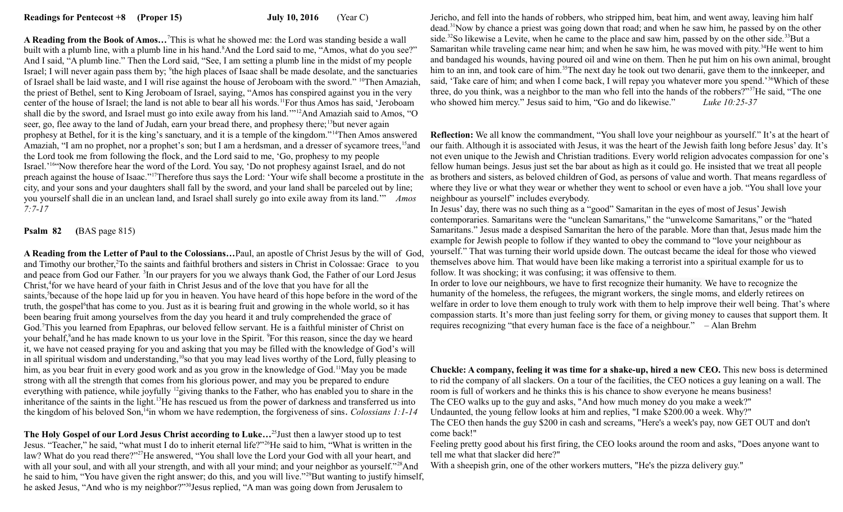**A Reading from the Book of Amos…**<sup>7</sup>This is what he showed me: the Lord was standing beside a wall built with a plumb line, with a plumb line in his hand.<sup>8</sup>And the Lord said to me, "Amos, what do you see?" And I said, "A plumb line." Then the Lord said, "See, I am setting a plumb line in the midst of my people Israel; I will never again pass them by; <sup>9</sup>the high places of Isaac shall be made desolate, and the sanctuaries of Israel shall be laid waste, and I will rise against the house of Jeroboam with the sword." <sup>10</sup>Then Amaziah, the priest of Bethel, sent to King Jeroboam of Israel, saying, "Amos has conspired against you in the very center of the house of Israel; the land is not able to bear all his words.<sup>11</sup>For thus Amos has said, 'Jeroboam shall die by the sword, and Israel must go into exile away from his land.'"<sup>12</sup>And Amaziah said to Amos, "O seer, go, flee away to the land of Judah, earn your bread there, and prophesy there;<sup>13</sup>but never again prophesy at Bethel, for it is the king's sanctuary, and it is a temple of the kingdom."<sup>14</sup>Then Amos answered Amaziah, "I am no prophet, nor a prophet's son; but I am a herdsman, and a dresser of sycamore trees, <sup>15</sup>and the Lord took me from following the flock, and the Lord said to me, 'Go, prophesy to my people Israel.'<sup>16</sup>"Now therefore hear the word of the Lord. You say, 'Do not prophesy against Israel, and do not preach against the house of Isaac."<sup>17</sup>Therefore thus says the Lord: 'Your wife shall become a prostitute in the as brothers and sisters, as beloved children of God, as persons of value and worth. That means regardless of city, and your sons and your daughters shall fall by the sword, and your land shall be parceled out by line; you yourself shall die in an unclean land, and Israel shall surely go into exile away from its land.'" *Amos 7:7-17* 

**Psalm 82 (**BAS page 815)

**A Reading from the Letter of Paul to the Colossians…**Paul, an apostle of Christ Jesus by the will of God, and Timothy our brother,<sup>2</sup>To the saints and faithful brothers and sisters in Christ in Colossae: Grace to you and peace from God our Father. <sup>3</sup>In our prayers for you we always thank God, the Father of our Lord Jesus Christ,<sup>4</sup> for we have heard of your faith in Christ Jesus and of the love that you have for all the saints,<sup>5</sup>because of the hope laid up for you in heaven. You have heard of this hope before in the word of the truth, the gospel<sup>6</sup> that has come to you. Just as it is bearing fruit and growing in the whole world, so it has been bearing fruit among yourselves from the day you heard it and truly comprehended the grace of God.<sup>7</sup>This you learned from Epaphras, our beloved fellow servant. He is a faithful minister of Christ on your behalf,<sup>8</sup> and he has made known to us your love in the Spirit. <sup>9</sup>For this reason, since the day we heard it, we have not ceased praying for you and asking that you may be filled with the knowledge of God's will in all spiritual wisdom and understanding,<sup>10</sup>so that you may lead lives worthy of the Lord, fully pleasing to him, as you bear fruit in every good work and as you grow in the knowledge of God.<sup>11</sup>May you be made strong with all the strength that comes from his glorious power, and may you be prepared to endure everything with patience, while joyfully <sup>12</sup>giving thanks to the Father, who has enabled you to share in the inheritance of the saints in the light.<sup>13</sup>He has rescued us from the power of darkness and transferred us into the kingdom of his beloved Son,<sup>14</sup>in whom we have redemption, the forgiveness of sins. *Colossians 1:1-14* 

**The Holy Gospel of our Lord Jesus Christ according to Luke…**<sup>25</sup>Just then a lawyer stood up to test Jesus. "Teacher," he said, "what must I do to inherit eternal life?"<sup>26</sup>He said to him, "What is written in the law? What do you read there?"<sup>27</sup>He answered, "You shall love the Lord your God with all your heart, and with all your soul, and with all your strength, and with all your mind; and your neighbor as yourself."<sup>28</sup>And he said to him, "You have given the right answer; do this, and you will live."<sup>29</sup>But wanting to justify himself, he asked Jesus, "And who is my neighbor?"<sup>30</sup>Jesus replied, "A man was going down from Jerusalem to

Jericho, and fell into the hands of robbers, who stripped him, beat him, and went away, leaving him half dead.<sup>31</sup>Now by chance a priest was going down that road; and when he saw him, he passed by on the other side.<sup>32</sup>So likewise a Levite, when he came to the place and saw him, passed by on the other side.<sup>33</sup>But a Samaritan while traveling came near him; and when he saw him, he was moved with pity.<sup>34</sup>He went to him and bandaged his wounds, having poured oil and wine on them. Then he put him on his own animal, brought him to an inn, and took care of him.<sup>35</sup>The next day he took out two denarii, gave them to the innkeeper, and said, 'Take care of him; and when I come back, I will repay you whatever more you spend.'<sup>36</sup>Which of these three, do you think, was a neighbor to the man who fell into the hands of the robbers?"<sup>37</sup>He said, "The one who showed him mercy." Jesus said to him, "Go and do likewise." *Luke 10:25-37*

**Reflection:** We all know the commandment, "You shall love your neighbour as yourself." It's at the heart of our faith. Although it is associated with Jesus, it was the heart of the Jewish faith long before Jesus' day. It's not even unique to the Jewish and Christian traditions. Every world religion advocates compassion for one's fellow human beings. Jesus just set the bar about as high as it could go. He insisted that we treat all people where they live or what they wear or whether they went to school or even have a job. "You shall love your neighbour as yourself" includes everybody.

In Jesus' day, there was no such thing as a "good" Samaritan in the eyes of most of Jesus' Jewish contemporaries. Samaritans were the "unclean Samaritans," the "unwelcome Samaritans," or the "hated Samaritans." Jesus made a despised Samaritan the hero of the parable. More than that, Jesus made him the example for Jewish people to follow if they wanted to obey the command to "love your neighbour as yourself." That was turning their world upside down. The outcast became the ideal for those who viewed themselves above him. That would have been like making a terrorist into a spiritual example for us to follow. It was shocking; it was confusing; it was offensive to them.

In order to love our neighbours, we have to first recognize their humanity. We have to recognize the humanity of the homeless, the refugees, the migrant workers, the single moms, and elderly retirees on welfare in order to love them enough to truly work with them to help improve their well being. That's where compassion starts. It's more than just feeling sorry for them, or giving money to causes that support them. It requires recognizing "that every human face is the face of a neighbour." – Alan Brehm

**Chuckle: A company, feeling it was time for a shake-up, hired a new CEO.** This new boss is determined to rid the company of all slackers. On a tour of the facilities, the CEO notices a guy leaning on a wall. The room is full of workers and he thinks this is his chance to show everyone he means business! The CEO walks up to the guy and asks, "And how much money do you make a week?"

Undaunted, the young fellow looks at him and replies, "I make \$200.00 a week. Why?"

The CEO then hands the guy \$200 in cash and screams, "Here's a week's pay, now GET OUT and don't come back!"

Feeling pretty good about his first firing, the CEO looks around the room and asks, "Does anyone want to tell me what that slacker did here?"

With a sheepish grin, one of the other workers mutters, "He's the pizza delivery guy."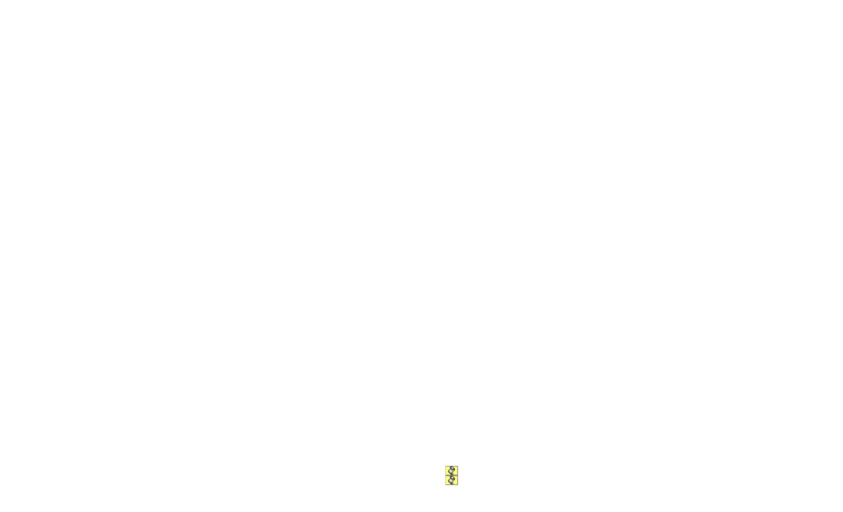